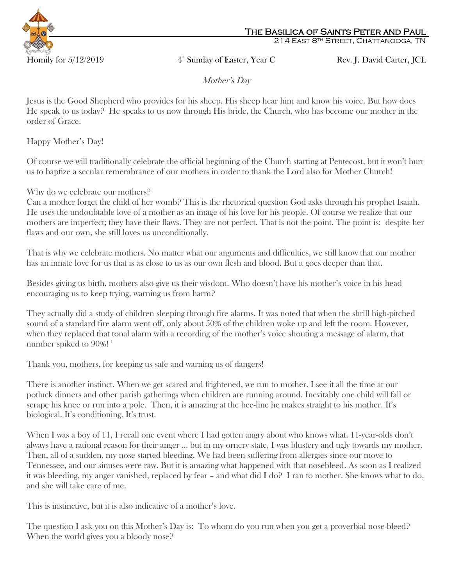

214 East 8th Street, Chattanooga, TN

4<sup>th</sup> Sunday of Easter, Year C Rev. J. David Carter, JCL

Mother's Day

Jesus is the Good Shepherd who provides for his sheep. His sheep hear him and know his voice. But how does He speak to us today? He speaks to us now through His bride, the Church, who has become our mother in the order of Grace.

Happy Mother's Day!

Of course we will traditionally celebrate the official beginning of the Church starting at Pentecost, but it won't hurt us to baptize a secular remembrance of our mothers in order to thank the Lord also for Mother Church!

Why do we celebrate our mothers?

Can a mother forget the child of her womb? This is the rhetorical question God asks through his prophet Isaiah. He uses the undoubtable love of a mother as an image of his love for his people. Of course we realize that our mothers are imperfect; they have their flaws. They are not perfect. That is not the point. The point is: despite her flaws and our own, she still loves us unconditionally.

That is why we celebrate mothers. No matter what our arguments and difficulties, we still know that our mother has an innate love for us that is as close to us as our own flesh and blood. But it goes deeper than that.

Besides giving us birth, mothers also give us their wisdom. Who doesn't have his mother's voice in his head encouraging us to keep trying, warning us from harm?

They actually did a study of children sleeping through fire alarms. It was noted that when the shrill high-pitched sound of a standard fire alarm went off, only about 50% of the children woke up and left the room. However, when they replaced that tonal alarm with a recording of the mother's voice shouting a message of alarm, that number spiked to  $90\%!$ <sup>1</sup>

Thank you, mothers, for keeping us safe and warning us of dangers!

There is another instinct. When we get scared and frightened, we run to mother. I see it all the time at our potluck dinners and other parish gatherings when children are running around. Inevitably one child will fall or scrape his knee or run into a pole. Then, it is amazing at the bee-line he makes straight to his mother. It's biological. It's conditioning. It's trust.

When I was a boy of 11, I recall one event where I had gotten angry about who knows what. 11-year-olds don't always have a rational reason for their anger ... but in my ornery state, I was blustery and ugly towards my mother. Then, all of a sudden, my nose started bleeding. We had been suffering from allergies since our move to Tennessee, and our sinuses were raw. But it is amazing what happened with that nosebleed. As soon as I realized it was bleeding, my anger vanished, replaced by fear – and what did I do? I ran to mother. She knows what to do, and she will take care of me.

This is instinctive, but it is also indicative of a mother's love.

The question I ask you on this Mother's Day is: To whom do you run when you get a proverbial nose-bleed? When the world gives you a bloody nose?